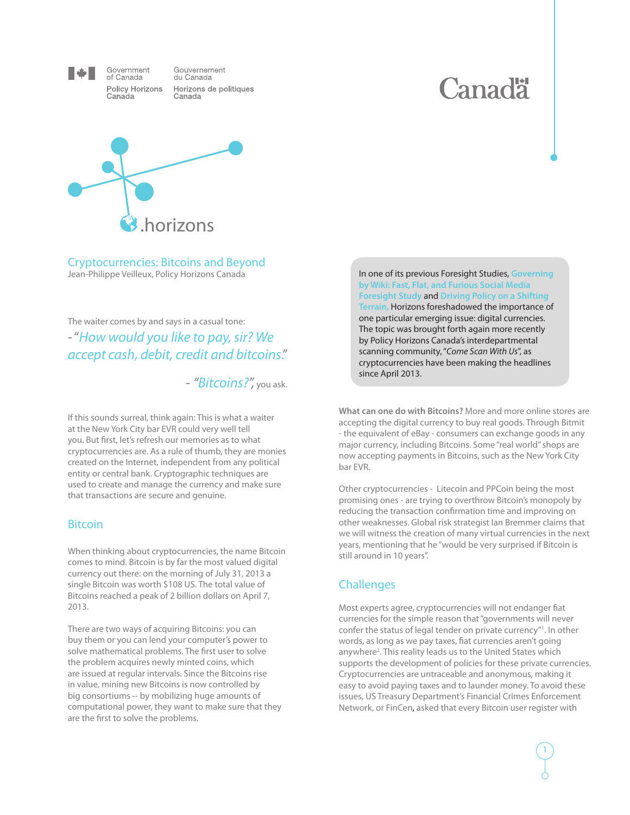

of Canada

Canada

Government Gouvernement du Canada Policy Horizons Horizons de politiques Canada





Cryptocurrencies: Bitcoins and Beyond Jean-Philippe Veilleux, Policy Horizons Canada In one of its previous Foresight Studies, **[Governing](http://www.horizons.gc.ca/eng/content/governing-wiki-fast-flat-and-furious-social-media-foresight-study)** 

The waiter comes by and says in a casual tone: - "*How would you like to pay, sir? We accept cash, debit, credit and bitcoins*."

- *"Bitcoins?",* you ask.

If this sounds surreal, think again: This is what a waiter at the New York City bar EVR could very well tell you. But first, let's refresh our memories as to what cryptocurrencies are. As a rule of thumb, they are monies created on the Internet, independent from any political entity or central bank. Cryptographic techniques are used to create and manage the currency and make sure that transactions are secure and genuine.

## Bitcoin

When thinking about cryptocurrencies, the name Bitcoin comes to mind. Bitcoin is by far the most valued digital currency out there: on the morning of July 31, 2013 a single Bitcoin was worth \$108 US. The total value of Bitcoins reached a peak of 2 billion dollars on April 7, 2013.

There are two ways of acquiring Bitcoins: you can buy them or you can lend your computer's power to solve mathematical problems. The first user to solve the problem acquires newly minted coins, which are issued at regular intervals. Since the Bitcoins rise in value, mining new Bitcoins is now controlled by big consortiums -- by mobilizing huge amounts of computational power, they want to make sure that they are the first to solve the problems.

**[by Wiki: Fast, Flat, and Furious Social Media](http://www.horizons.gc.ca/eng/content/governing-wiki-fast-flat-and-furious-social-media-foresight-study)  [Foresight Study](http://www.horizons.gc.ca/eng/content/governing-wiki-fast-flat-and-furious-social-media-foresight-study)** and **[Driving Policy on a Shifting](http://www.horizons.gc.ca/eng/content/driving-policy-shifting-terrain-21st-century-complexity)  [Terrain,](http://www.horizons.gc.ca/eng/content/driving-policy-shifting-terrain-21st-century-complexity)** Horizons foreshadowed the importance of one particular emerging issue: digital currencies. The topic was brought forth again more recently by Policy Horizons Canada's interdepartmental scanning community, "*Come Scan With Us*", as cryptocurrencies have been making the headlines since April 2013.

**What can one do with Bitcoins?** More and more online stores are accepting the digital currency to buy real goods. Through Bitmit - the equivalent of eBay - consumers can exchange goods in any major currency, including Bitcoins. Some "real world" shops are now accepting payments in Bitcoins, such as the New York City bar EVR.

Other cryptocurrencies - Litecoin and PPCoin being the most promising ones - are trying to overthrow Bitcoin's monopoly by reducing the transaction confirmation time and improving on other weaknesses. Global risk strategist Ian Bremmer claims that we will witness the creation of many virtual currencies in the next years, mentioning that he "would be very surprised if Bitcoin is still around in 10 years".

## **Challenges**

Most experts agree, cryptocurrencies will not endanger fiat currencies for the simple reason that "governments will never confer the status of legal tender on private currency"1 . In other words, as long as we pay taxes, fiat currencies aren't going anywhere<sup>2</sup>. This reality leads us to the United States which supports the development of policies for these private currencies. Cryptocurrencies are untraceable and anonymous, making it easy to avoid paying taxes and to launder money. To avoid these issues, US Treasury Department's Financial Crimes Enforcement Network, or FinCen, asked that every Bitcoin user register with